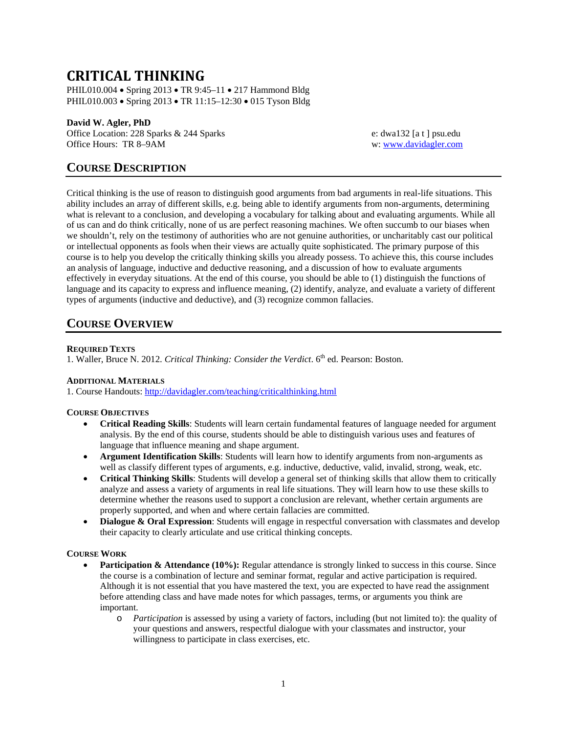# **CRITICAL THINKING**

PHIL010.004 • Spring 2013 • TR 9:45–11 • 217 Hammond Bldg PHIL010.003 • Spring 2013 • TR 11:15–12:30 • 015 Tyson Bldg

# **David W. Agler, PhD**

Office Location: 228 Sparks & 244 Sparks e: dwa132 [a t ] psu.edu Office Hours: TR 8–9AM w: [www.davidagler.com](http://www.davidagler.com/)

# **COURSE DESCRIPTION**

Critical thinking is the use of reason to distinguish good arguments from bad arguments in real-life situations. This ability includes an array of different skills, e.g. being able to identify arguments from non-arguments, determining what is relevant to a conclusion, and developing a vocabulary for talking about and evaluating arguments. While all of us can and do think critically, none of us are perfect reasoning machines. We often succumb to our biases when we shouldn't, rely on the testimony of authorities who are not genuine authorities, or uncharitably cast our political or intellectual opponents as fools when their views are actually quite sophisticated. The primary purpose of this course is to help you develop the critically thinking skills you already possess. To achieve this, this course includes an analysis of language, inductive and deductive reasoning, and a discussion of how to evaluate arguments effectively in everyday situations. At the end of this course, you should be able to (1) distinguish the functions of language and its capacity to express and influence meaning, (2) identify, analyze, and evaluate a variety of different types of arguments (inductive and deductive), and (3) recognize common fallacies.

# **COURSE OVERVIEW**

# **REQUIRED TEXTS**

1. Waller, Bruce N. 2012. *Critical Thinking: Consider the Verdict*. 6<sup>th</sup> ed. Pearson: Boston.

# **ADDITIONAL MATERIALS**

1. Course Handouts:<http://davidagler.com/teaching/criticalthinking.html>

# **COURSE OBJECTIVES**

- **Critical Reading Skills**: Students will learn certain fundamental features of language needed for argument analysis. By the end of this course, students should be able to distinguish various uses and features of language that influence meaning and shape argument.
- **Argument Identification Skills**: Students will learn how to identify arguments from non-arguments as well as classify different types of arguments, e.g. inductive, deductive, valid, invalid, strong, weak, etc.
- **Critical Thinking Skills**: Students will develop a general set of thinking skills that allow them to critically analyze and assess a variety of arguments in real life situations. They will learn how to use these skills to determine whether the reasons used to support a conclusion are relevant, whether certain arguments are properly supported, and when and where certain fallacies are committed.
- **Dialogue & Oral Expression**: Students will engage in respectful conversation with classmates and develop their capacity to clearly articulate and use critical thinking concepts.

# **COURSE WORK**

- **Participation & Attendance (10%):** Regular attendance is strongly linked to success in this course. Since the course is a combination of lecture and seminar format, regular and active participation is required. Although it is not essential that you have mastered the text, you are expected to have read the assignment before attending class and have made notes for which passages, terms, or arguments you think are important.
	- o *Participation* is assessed by using a variety of factors, including (but not limited to): the quality of your questions and answers, respectful dialogue with your classmates and instructor, your willingness to participate in class exercises, etc.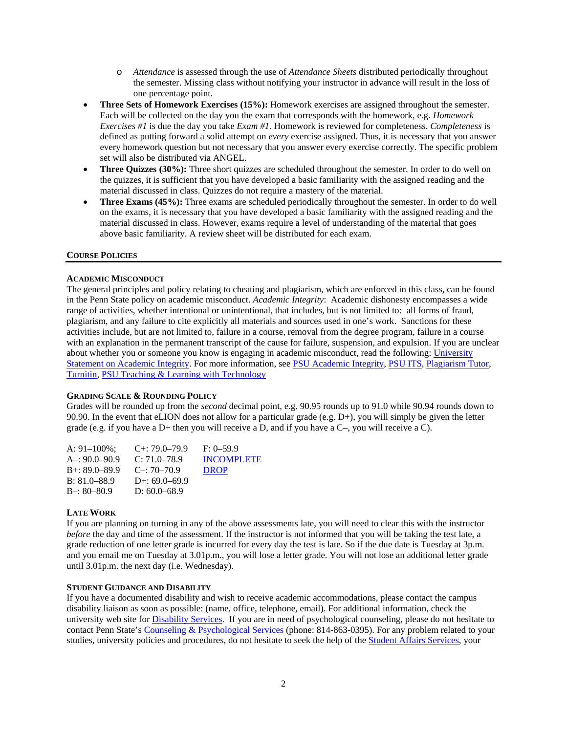- o *Attendance* is assessed through the use of *Attendance Sheets* distributed periodically throughout the semester. Missing class without notifying your instructor in advance will result in the loss of one percentage point.
- **Three Sets of Homework Exercises (15%):** Homework exercises are assigned throughout the semester. Each will be collected on the day you the exam that corresponds with the homework, e.g. *Homework Exercises #1* is due the day you take *Exam #1*. Homework is reviewed for completeness. *Completeness* is defined as putting forward a solid attempt on *every* exercise assigned. Thus, it is necessary that you answer every homework question but not necessary that you answer every exercise correctly. The specific problem set will also be distributed via ANGEL.
- **Three Quizzes (30%):** Three short quizzes are scheduled throughout the semester. In order to do well on the quizzes, it is sufficient that you have developed a basic familiarity with the assigned reading and the material discussed in class. Quizzes do not require a mastery of the material.
- **Three Exams (45%):** Three exams are scheduled periodically throughout the semester. In order to do well on the exams, it is necessary that you have developed a basic familiarity with the assigned reading and the material discussed in class. However, exams require a level of understanding of the material that goes above basic familiarity. A review sheet will be distributed for each exam.

#### **COURSE POLICIES**

#### **ACADEMIC MISCONDUCT**

The general principles and policy relating to cheating and plagiarism, which are enforced in this class, can be found in the Penn State policy on academic misconduct. *Academic Integrity*: Academic dishonesty encompasses a wide range of activities, whether intentional or unintentional, that includes, but is not limited to: all forms of fraud, plagiarism, and any failure to cite explicitly all materials and sources used in one's work. Sanctions for these activities include, but are not limited to, failure in a course, removal from the degree program, failure in a course with an explanation in the permanent transcript of the cause for failure, suspension, and expulsion. If you are unclear about whether you or someone you know is engaging in academic misconduct, read the following[: University](http://www.psu.edu/dept/ufs/policies/47-00.html#49-20)  [Statement on Academic Integrity.](http://www.psu.edu/dept/ufs/policies/47-00.html#49-20) For more information, see [PSU Academic Integrity,](http://www.psu.edu/ufs/policies) PSU ITS, [Plagiarism Tutor,](http://www.libraries.psu.edu/instruction/infolit/andyou/mod9/plagiarism.htm) [Turnitin,](http://tlt.its.psu.edu/turnitin) [PSU Teaching & Learning with](http://tlt.its.psu.edu/suggestions/cyberplag/) Technology

#### **GRADING SCALE & ROUNDING POLICY**

Grades will be rounded up from the *second* decimal point, e.g. 90.95 rounds up to 91.0 while 90.94 rounds down to 90.90. In the event that eLION does not allow for a particular grade (e.g. D+), you will simply be given the letter grade (e.g. if you have a D+ then you will receive a D, and if you have a C–, you will receive a C).

| $C_{+}$ : 79.0–79.9 | $F: 0-59.9$       |
|---------------------|-------------------|
| $C: 71.0 - 78.9$    | <b>INCOMPLETE</b> |
| $C_{\rm}$ : 70–70.9 | <b>DROP</b>       |
| D+: $69.0 - 69.9$   |                   |
| D: $60.0 - 68.9$    |                   |
|                     |                   |

# **LATE WORK**

If you are planning on turning in any of the above assessments late, you will need to clear this with the instructor *before* the day and time of the assessment. If the instructor is not informed that you will be taking the test late, a grade reduction of one letter grade is incurred for every day the test is late. So if the due date is Tuesday at 3p.m. and you email me on Tuesday at 3.01p.m., you will lose a letter grade. You will not lose an additional letter grade until 3.01p.m. the next day (i.e. Wednesday).

#### **STUDENT GUIDANCE AND DISABILITY**

If you have a documented disability and wish to receive academic accommodations, please contact the campus disability liaison as soon as possible: (name, office, telephone, email). For additional information, check the university web site for **Disability Services**. If you are in need of psychological counseling, please do not hesitate to contact Penn State'[s Counseling & Psychological Services](http://www.sa.psu.edu/caps/default.shtml) (phone: 814-863-0395). For any problem related to your studies, university policies and procedures, do not hesitate to seek the help of the [Student Affairs Services,](http://www.sa.psu.edu/services.shtml) your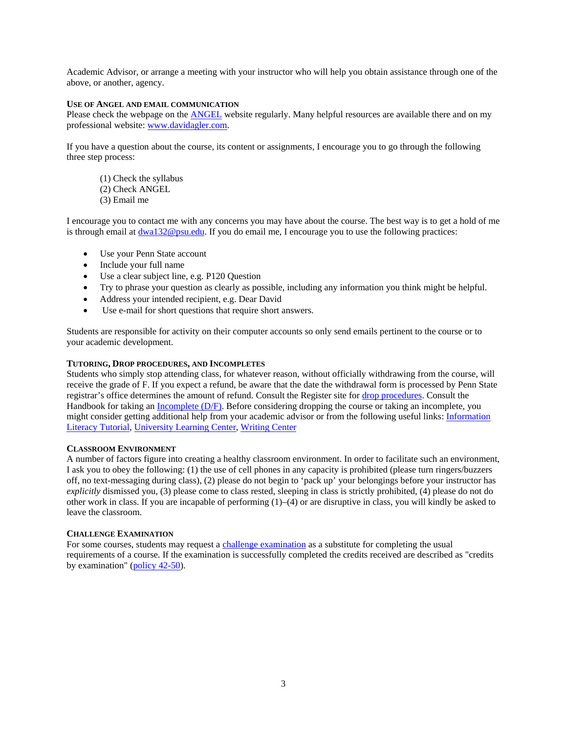Academic Advisor, or arrange a meeting with your instructor who will help you obtain assistance through one of the above, or another, agency.

#### **USE OF ANGEL AND EMAIL COMMUNICATION**

Please check the webpage on the [ANGEL](https://cms.psu.edu/frames.aspx) website regularly. Many helpful resources are available there and on my professional website: [www.davidagler.com.](http://www.davidagler.com/) 

If you have a question about the course, its content or assignments, I encourage you to go through the following three step process:

(1) Check the syllabus (2) Check ANGEL (3) Email me

I encourage you to contact me with any concerns you may have about the course. The best way is to get a hold of me is through email at [dwa132@psu.edu.](mailto:dwa132@psu.edu) If you do email me, I encourage you to use the following practices:

- Use your Penn State account
- Include your full name
- Use a clear subject line, e.g. P120 Question
- Try to phrase your question as clearly as possible, including any information you think might be helpful.
- Address your intended recipient, e.g. Dear David
- Use e-mail for short questions that require short answers.

Students are responsible for activity on their computer accounts so only send emails pertinent to the course or to your academic development.

#### **TUTORING, DROP PROCEDURES, AND INCOMPLETES**

Students who simply stop attending class, for whatever reason, without officially withdrawing from the course, will receive the grade of F. If you expect a refund, be aware that the date the withdrawal form is processed by Penn State registrar's office determines the amount of refund. Consult the Register site for [drop procedures.](http://www.registrar.psu.edu/registration/dropping_courses.cfm) Consult the Handbook for taking an <u>Incomplete (D/F)</u>. Before considering dropping the course or taking an incomplete, you might consider getting additional help from your academic advisor or from the following useful links: [Information](http://www.libraries.psu.edu/instruction/infolit/andyou/infoyou.htm) [Literacy Tutorial,](http://www.libraries.psu.edu/instruction/infolit/andyou/infoyou.htm) [University Learning Center,](http://php.scripts.psu.edu/dept/ulc/index.php) [Writing Center](http://www.psu.edu/dept/cew/writingcenter/UWC/index2.htm)

#### **CLASSROOM ENVIRONMENT**

A number of factors figure into creating a healthy classroom environment. In order to facilitate such an environment, I ask you to obey the following: (1) the use of cell phones in any capacity is prohibited (please turn ringers/buzzers off, no text-messaging during class), (2) please do not begin to 'pack up' your belongings before your instructor has *explicitly* dismissed you, (3) please come to class rested, sleeping in class is strictly prohibited, (4) please do not do other work in class. If you are incapable of performing (1)–(4) or are disruptive in class, you will kindly be asked to leave the classroom.

#### **CHALLENGE EXAMINATION**

For some courses, students may request a [challenge examination](http://www.registrar.psu.edu/grades/credit_examination.cfm) as a substitute for completing the usual requirements of a course. If the examination is successfully completed the credits received are described as "credits by examination" [\(policy 42-50\)](javascript:openAWindow().